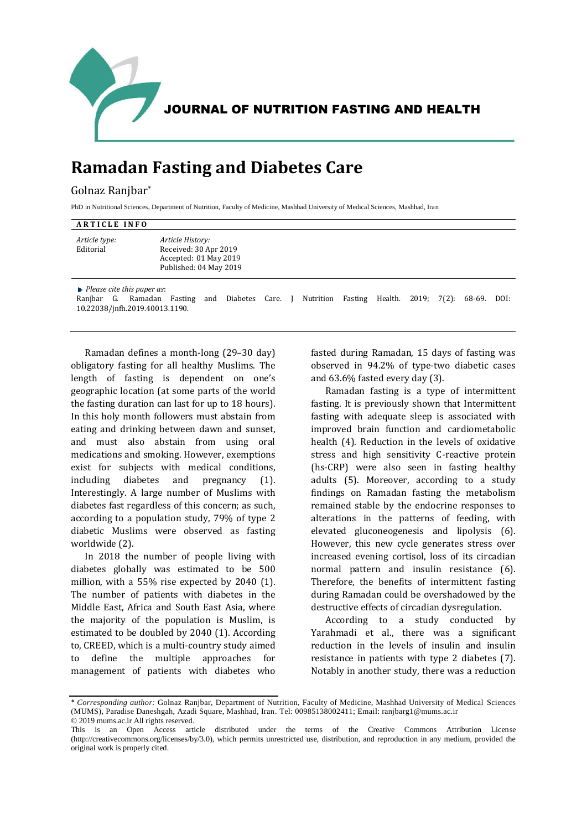

JOURNAL OF NUTRITION FASTING AND HEALTH

## **Ramadan Fasting and Diabetes Care**

## Golnaz Ranjbar\*

PhD in Nutritional Sciences, Department of Nutrition, Faculty of Medicine, Mashhad University of Medical Sciences, Mashhad, Iran

## **ARTICLE INFO** *Article type:* **Editorial** *Article History:* Received: 30 Apr 2019 Accepted: 01 May 2019 Published: 04 May 2019 *Please cite this paper as*: Ranjbar G. Ramadan Fasting and Diabetes Care. J Nutrition Fasting Health. 2019; 7(2): 68-69. DOI:

10.22038/jnfh.2019.40013.1190.

Ramadan defines a month-long (29–30 day) obligatory fasting for all healthy Muslims. The length of fasting is dependent on one's geographic location (at some parts of the world the fasting duration can last for up to 18 hours). In this holy month followers must abstain from eating and drinking between dawn and sunset, and must also abstain from using oral medications and smoking. However, exemptions exist for subjects with medical conditions, including diabetes and pregnancy (1). Interestingly. A large number of Muslims with diabetes fast regardless of this concern; as such, according to a population study, 79% of type 2 diabetic Muslims were observed as fasting worldwide (2).

In 2018 the number of people living with diabetes globally was estimated to be 500 million, with a 55% rise expected by 2040 (1). The number of patients with diabetes in the Middle East, Africa and South East Asia, where the majority of the population is Muslim, is estimated to be doubled by 2040 (1). According to, CREED, which is a multi-country study aimed to define the multiple approaches for management of patients with diabetes who fasted during Ramadan, 15 days of fasting was observed in 94.2% of type-two diabetic cases and 63.6% fasted every day (3).

Ramadan fasting is a type of intermittent fasting. It is previously shown that Intermittent fasting with adequate sleep is associated with improved brain function and cardiometabolic health (4). Reduction in the levels of oxidative stress and high sensitivity C-reactive protein (hs-CRP) were also seen in fasting healthy adults (5). Moreover, according to a study findings on Ramadan fasting the metabolism remained stable by the endocrine responses to alterations in the patterns of feeding, with elevated gluconeogenesis and lipolysis (6). However, this new cycle generates stress over increased evening cortisol, loss of its circadian normal pattern and insulin resistance (6). Therefore, the benefits of intermittent fasting during Ramadan could be overshadowed by the destructive effects of circadian dysregulation.

According to a study conducted by Yarahmadi et al., there was a significant reduction in the levels of insulin and insulin resistance in patients with type 2 diabetes (7). Notably in another study, there was a reduction

<sup>\*</sup> *Corresponding author:* Golnaz Ranjbar, Department of Nutrition, Faculty of Medicine, Mashhad University of Medical Sciences (MUMS), Paradise Daneshgah, Azadi Square, Mashhad, Iran. Tel: 00985138002411; Email: ranjbarg1@mums.ac.ir © 2019 mums.ac.ir All rights reserved.

This is an Open Access article distributed under the terms of the Creative Commons Attribution License (http://creativecommons.org/licenses/by/3.0), which permits unrestricted use, distribution, and reproduction in any medium, provided the original work is properly cited.